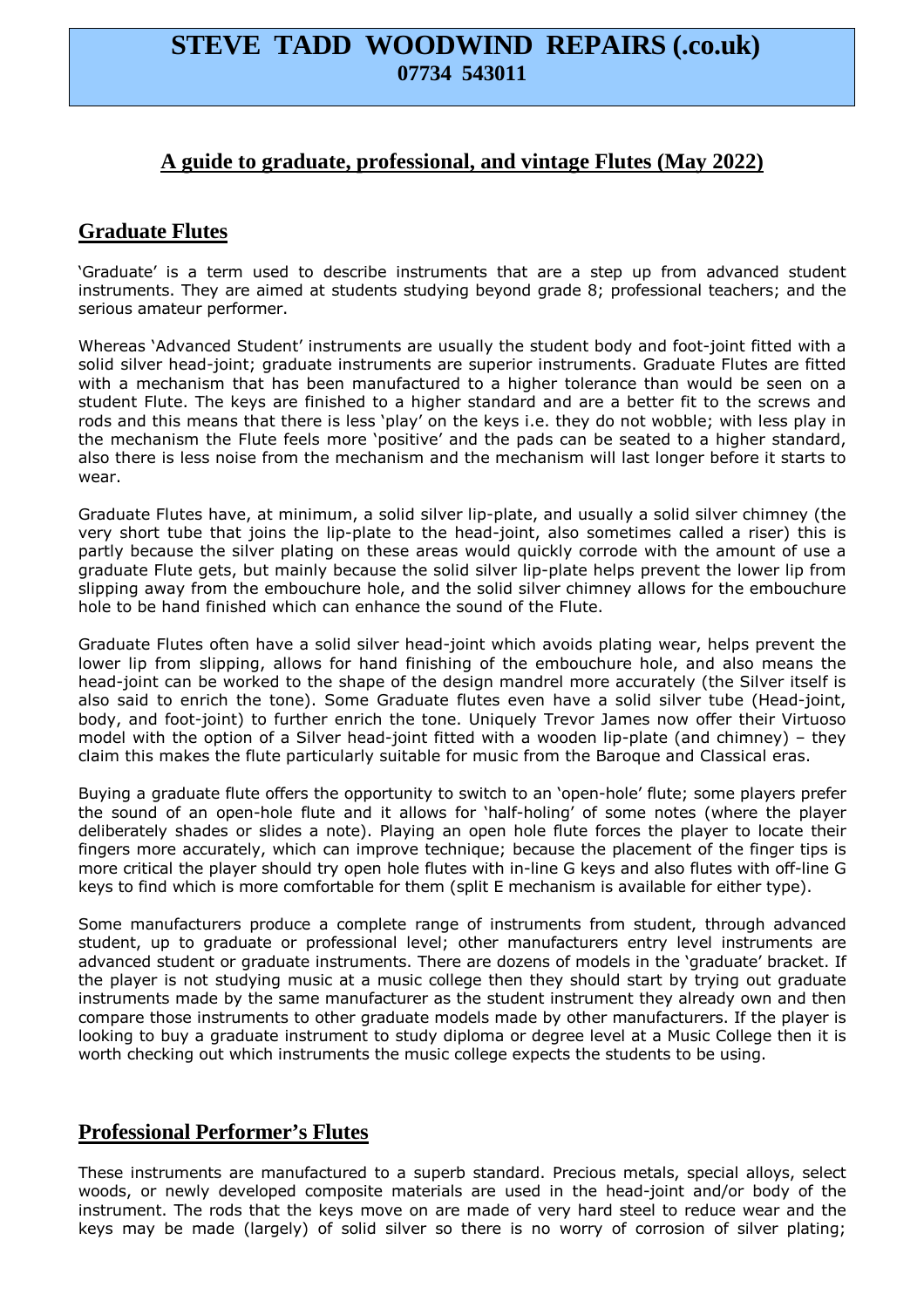# **STEVE TADD WOODWIND REPAIRS (.co.uk) 07734 543011**

## **A guide to graduate, professional, and vintage Flutes (May 2022)**

# **Graduate Flutes**

'Graduate' is a term used to describe instruments that are a step up from advanced student instruments. They are aimed at students studying beyond grade 8; professional teachers; and the serious amateur performer.

Whereas 'Advanced Student' instruments are usually the student body and foot-joint fitted with a solid silver head-joint; graduate instruments are superior instruments. Graduate Flutes are fitted with a mechanism that has been manufactured to a higher tolerance than would be seen on a student Flute. The keys are finished to a higher standard and are a better fit to the screws and rods and this means that there is less 'play' on the keys i.e. they do not wobble; with less play in the mechanism the Flute feels more 'positive' and the pads can be seated to a higher standard, also there is less noise from the mechanism and the mechanism will last longer before it starts to wear.

Graduate Flutes have, at minimum, a solid silver lip-plate, and usually a solid silver chimney (the very short tube that joins the lip-plate to the head-joint, also sometimes called a riser) this is partly because the silver plating on these areas would quickly corrode with the amount of use a graduate Flute gets, but mainly because the solid silver lip-plate helps prevent the lower lip from slipping away from the embouchure hole, and the solid silver chimney allows for the embouchure hole to be hand finished which can enhance the sound of the Flute.

Graduate Flutes often have a solid silver head-joint which avoids plating wear, helps prevent the lower lip from slipping, allows for hand finishing of the embouchure hole, and also means the head-joint can be worked to the shape of the design mandrel more accurately (the Silver itself is also said to enrich the tone). Some Graduate flutes even have a solid silver tube (Head-joint, body, and foot-joint) to further enrich the tone. Uniquely Trevor James now offer their Virtuoso model with the option of a Silver head-joint fitted with a wooden lip-plate (and chimney) – they claim this makes the flute particularly suitable for music from the Baroque and Classical eras.

Buying a graduate flute offers the opportunity to switch to an 'open-hole' flute; some players prefer the sound of an open-hole flute and it allows for 'half-holing' of some notes (where the player deliberately shades or slides a note). Playing an open hole flute forces the player to locate their fingers more accurately, which can improve technique; because the placement of the finger tips is more critical the player should try open hole flutes with in-line G keys and also flutes with off-line G keys to find which is more comfortable for them (split E mechanism is available for either type).

Some manufacturers produce a complete range of instruments from student, through advanced student, up to graduate or professional level; other manufacturers entry level instruments are advanced student or graduate instruments. There are dozens of models in the 'graduate' bracket. If the player is not studying music at a music college then they should start by trying out graduate instruments made by the same manufacturer as the student instrument they already own and then compare those instruments to other graduate models made by other manufacturers. If the player is looking to buy a graduate instrument to study diploma or degree level at a Music College then it is worth checking out which instruments the music college expects the students to be using.

## **Professional Performer's Flutes**

These instruments are manufactured to a superb standard. Precious metals, special alloys, select woods, or newly developed composite materials are used in the head-joint and/or body of the instrument. The rods that the keys move on are made of very hard steel to reduce wear and the keys may be made (largely) of solid silver so there is no worry of corrosion of silver plating;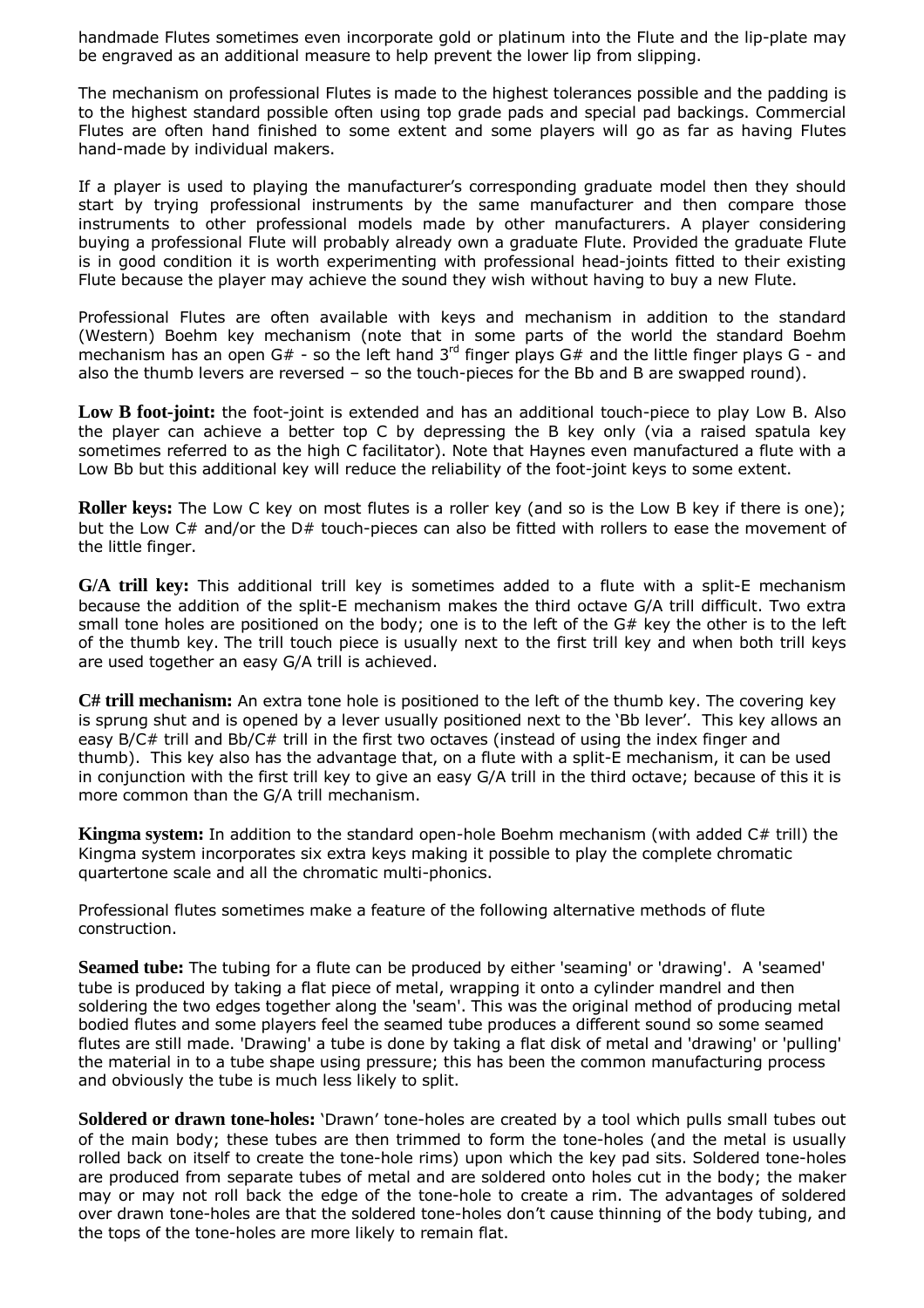handmade Flutes sometimes even incorporate gold or platinum into the Flute and the lip-plate may be engraved as an additional measure to help prevent the lower lip from slipping.

The mechanism on professional Flutes is made to the highest tolerances possible and the padding is to the highest standard possible often using top grade pads and special pad backings. Commercial Flutes are often hand finished to some extent and some players will go as far as having Flutes hand-made by individual makers.

If a player is used to playing the manufacturer's corresponding graduate model then they should start by trying professional instruments by the same manufacturer and then compare those instruments to other professional models made by other manufacturers. A player considering buying a professional Flute will probably already own a graduate Flute. Provided the graduate Flute is in good condition it is worth experimenting with professional head-joints fitted to their existing Flute because the player may achieve the sound they wish without having to buy a new Flute.

Professional Flutes are often available with keys and mechanism in addition to the standard (Western) Boehm key mechanism (note that in some parts of the world the standard Boehm mechanism has an open G# - so the left hand  $3<sup>rd</sup>$  finger plays G# and the little finger plays G - and also the thumb levers are reversed – so the touch-pieces for the Bb and B are swapped round).

**Low B foot-joint:** the foot-joint is extended and has an additional touch-piece to play Low B. Also the player can achieve a better top C by depressing the B key only (via a raised spatula key sometimes referred to as the high C facilitator). Note that Haynes even manufactured a flute with a Low Bb but this additional key will reduce the reliability of the foot-joint keys to some extent.

**Roller keys:** The Low C key on most flutes is a roller key (and so is the Low B key if there is one); but the Low C# and/or the D# touch-pieces can also be fitted with rollers to ease the movement of the little finger.

**G/A trill key:** This additional trill key is sometimes added to a flute with a split-E mechanism because the addition of the split-E mechanism makes the third octave G/A trill difficult. Two extra small tone holes are positioned on the body; one is to the left of the G# key the other is to the left of the thumb key. The trill touch piece is usually next to the first trill key and when both trill keys are used together an easy G/A trill is achieved.

**C# trill mechanism:** An extra tone hole is positioned to the left of the thumb key. The covering key is sprung shut and is opened by a lever usually positioned next to the 'Bb lever'. This key allows an easy B/C# trill and Bb/C# trill in the first two octaves (instead of using the index finger and thumb). This key also has the advantage that, on a flute with a split-E mechanism, it can be used in conjunction with the first trill key to give an easy G/A trill in the third octave; because of this it is more common than the G/A trill mechanism.

**Kingma system:** In addition to the standard open-hole Boehm mechanism (with added C# trill) the Kingma system incorporates six extra keys making it possible to play the complete chromatic quartertone scale and all the chromatic multi-phonics.

Professional flutes sometimes make a feature of the following alternative methods of flute construction.

**Seamed tube:** The tubing for a flute can be produced by either 'seaming' or 'drawing'. A 'seamed' tube is produced by taking a flat piece of metal, wrapping it onto a cylinder mandrel and then soldering the two edges together along the 'seam'. This was the original method of producing metal bodied flutes and some players feel the seamed tube produces a different sound so some seamed flutes are still made. 'Drawing' a tube is done by taking a flat disk of metal and 'drawing' or 'pulling' the material in to a tube shape using pressure; this has been the common manufacturing process and obviously the tube is much less likely to split.

**Soldered or drawn tone-holes:** 'Drawn' tone-holes are created by a tool which pulls small tubes out of the main body; these tubes are then trimmed to form the tone-holes (and the metal is usually rolled back on itself to create the tone-hole rims) upon which the key pad sits. Soldered tone-holes are produced from separate tubes of metal and are soldered onto holes cut in the body; the maker may or may not roll back the edge of the tone-hole to create a rim. The advantages of soldered over drawn tone-holes are that the soldered tone-holes don't cause thinning of the body tubing, and the tops of the tone-holes are more likely to remain flat.